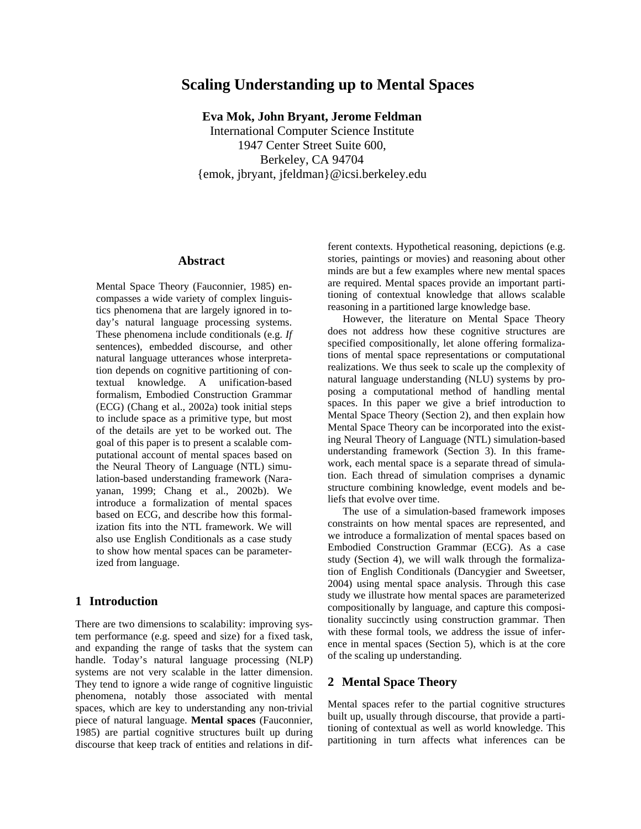# **Scaling Understanding up to Mental Spaces**

**Eva Mok, John Bryant, Jerome Feldman** 

International Computer Science Institute 1947 Center Street Suite 600, Berkeley, CA 94704 {emok, jbryant, jfeldman}@icsi.berkeley.edu

# **Abstract**

Mental Space Theory (Fauconnier, 1985) encompasses a wide variety of complex linguistics phenomena that are largely ignored in today's natural language processing systems. These phenomena include conditionals (e.g. *If* sentences), embedded discourse, and other natural language utterances whose interpretation depends on cognitive partitioning of contextual knowledge. A unification-based formalism, Embodied Construction Grammar (ECG) (Chang et al., 2002a) took initial steps to include space as a primitive type, but most of the details are yet to be worked out. The goal of this paper is to present a scalable computational account of mental spaces based on the Neural Theory of Language (NTL) simulation-based understanding framework (Narayanan, 1999; Chang et al., 2002b). We introduce a formalization of mental spaces based on ECG, and describe how this formalization fits into the NTL framework. We will also use English Conditionals as a case study to show how mental spaces can be parameterized from language.

# **1 Introduction**

There are two dimensions to scalability: improving system performance (e.g. speed and size) for a fixed task, and expanding the range of tasks that the system can handle. Today's natural language processing (NLP) systems are not very scalable in the latter dimension. They tend to ignore a wide range of cognitive linguistic phenomena, notably those associated with mental spaces, which are key to understanding any non-trivial piece of natural language. **Mental spaces** (Fauconnier, 1985) are partial cognitive structures built up during discourse that keep track of entities and relations in different contexts. Hypothetical reasoning, depictions (e.g. stories, paintings or movies) and reasoning about other minds are but a few examples where new mental spaces are required. Mental spaces provide an important partitioning of contextual knowledge that allows scalable reasoning in a partitioned large knowledge base.

However, the literature on Mental Space Theory does not address how these cognitive structures are specified compositionally, let alone offering formalizations of mental space representations or computational realizations. We thus seek to scale up the complexity of natural language understanding (NLU) systems by proposing a computational method of handling mental spaces. In this paper we give a brief introduction to Mental Space Theory (Section 2), and then explain how Mental Space Theory can be incorporated into the existing Neural Theory of Language (NTL) simulation-based understanding framework (Section 3). In this framework, each mental space is a separate thread of simulation. Each thread of simulation comprises a dynamic structure combining knowledge, event models and beliefs that evolve over time.

The use of a simulation-based framework imposes constraints on how mental spaces are represented, and we introduce a formalization of mental spaces based on Embodied Construction Grammar (ECG). As a case study (Section 4), we will walk through the formalization of English Conditionals (Dancygier and Sweetser, 2004) using mental space analysis. Through this case study we illustrate how mental spaces are parameterized compositionally by language, and capture this compositionality succinctly using construction grammar. Then with these formal tools, we address the issue of inference in mental spaces (Section 5), which is at the core of the scaling up understanding.

# **2 Mental Space Theory**

Mental spaces refer to the partial cognitive structures built up, usually through discourse, that provide a partitioning of contextual as well as world knowledge. This partitioning in turn affects what inferences can be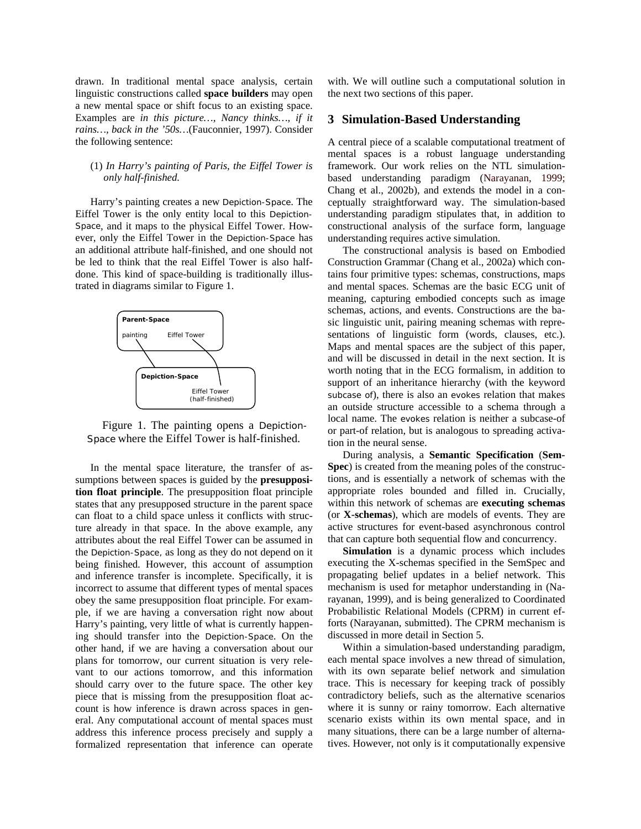drawn. In traditional mental space analysis, certain linguistic constructions called **space builders** may open a new mental space or shift focus to an existing space. Examples are *in this picture…, Nancy thinks…, if it rains…, back in the '50s…*(Fauconnier, 1997). Consider the following sentence:

## (1) *In Harry's painting of Paris, the Eiffel Tower is only half-finished.*

Harry's painting creates a new Depiction-Space. The Eiffel Tower is the only entity local to this Depiction-Space, and it maps to the physical Eiffel Tower. However, only the Eiffel Tower in the Depiction-Space has an additional attribute half-finished, and one should not be led to think that the real Eiffel Tower is also halfdone. This kind of space-building is traditionally illustrated in diagrams similar to Figure 1.



Figure 1. The painting opens a Depiction-Space where the Eiffel Tower is half-finished.

In the mental space literature, the transfer of assumptions between spaces is guided by the **presupposition float principle**. The presupposition float principle states that any presupposed structure in the parent space can float to a child space unless it conflicts with structure already in that space. In the above example, any attributes about the real Eiffel Tower can be assumed in the Depiction-Space, as long as they do not depend on it being finished. However, this account of assumption and inference transfer is incomplete. Specifically, it is incorrect to assume that different types of mental spaces obey the same presupposition float principle. For example, if we are having a conversation right now about Harry's painting, very little of what is currently happening should transfer into the Depiction-Space. On the other hand, if we are having a conversation about our plans for tomorrow, our current situation is very relevant to our actions tomorrow, and this information should carry over to the future space. The other key piece that is missing from the presupposition float account is how inference is drawn across spaces in general. Any computational account of mental spaces must address this inference process precisely and supply a formalized representation that inference can operate

with. We will outline such a computational solution in the next two sections of this paper.

# **3 Simulation-Based Understanding**

A central piece of a scalable computational treatment of mental spaces is a robust language understanding framework. Our work relies on the NTL simulationbased understanding paradigm (Narayanan, 1999; Chang et al., 2002b), and extends the model in a conceptually straightforward way. The simulation-based understanding paradigm stipulates that, in addition to constructional analysis of the surface form, language understanding requires active simulation.

The constructional analysis is based on Embodied Construction Grammar (Chang et al., 2002a) which contains four primitive types: schemas, constructions, maps and mental spaces. Schemas are the basic ECG unit of meaning, capturing embodied concepts such as image schemas, actions, and events. Constructions are the basic linguistic unit, pairing meaning schemas with representations of linguistic form (words, clauses, etc.). Maps and mental spaces are the subject of this paper, and will be discussed in detail in the next section. It is worth noting that in the ECG formalism, in addition to support of an inheritance hierarchy (with the keyword subcase of), there is also an evokes relation that makes an outside structure accessible to a schema through a local name. The evokes relation is neither a subcase-of or part-of relation, but is analogous to spreading activation in the neural sense.

During analysis, a **Semantic Specification** (**Sem-Spec**) is created from the meaning poles of the constructions, and is essentially a network of schemas with the appropriate roles bounded and filled in. Crucially, within this network of schemas are **executing schemas** (or **X-schemas**), which are models of events. They are active structures for event-based asynchronous control that can capture both sequential flow and concurrency.

**Simulation** is a dynamic process which includes executing the X-schemas specified in the SemSpec and propagating belief updates in a belief network. This mechanism is used for metaphor understanding in (Narayanan, 1999), and is being generalized to Coordinated Probabilistic Relational Models (CPRM) in current efforts (Narayanan, submitted). The CPRM mechanism is discussed in more detail in Section 5.

Within a simulation-based understanding paradigm, each mental space involves a new thread of simulation, with its own separate belief network and simulation trace. This is necessary for keeping track of possibly contradictory beliefs, such as the alternative scenarios where it is sunny or rainy tomorrow. Each alternative scenario exists within its own mental space, and in many situations, there can be a large number of alternatives. However, not only is it computationally expensive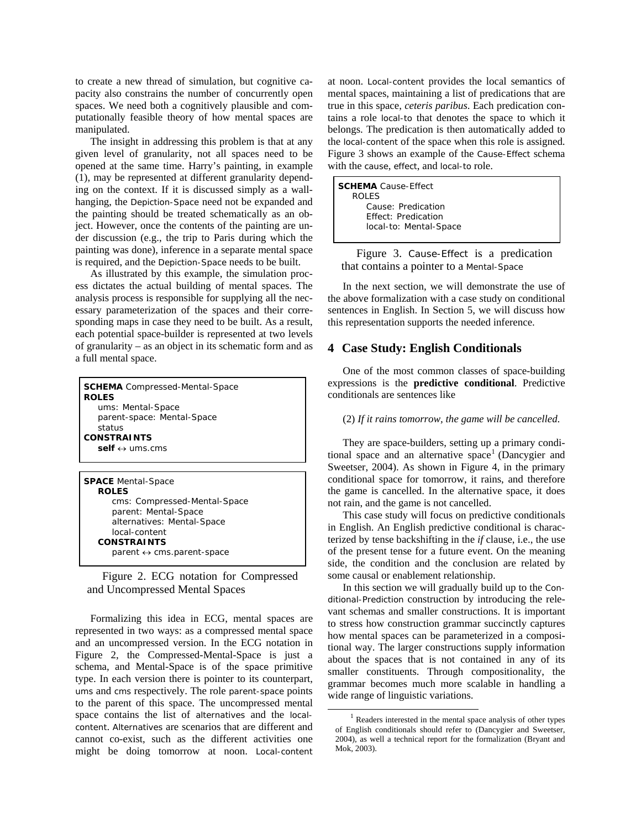to create a new thread of simulation, but cognitive capacity also constrains the number of concurrently open spaces. We need both a cognitively plausible and computationally feasible theory of how mental spaces are manipulated.

The insight in addressing this problem is that at any given level of granularity, not all spaces need to be opened at the same time. Harry's painting, in example (1), may be represented at different granularity depending on the context. If it is discussed simply as a wallhanging, the Depiction-Space need not be expanded and the painting should be treated schematically as an object. However, once the contents of the painting are under discussion (e.g., the trip to Paris during which the painting was done), inference in a separate mental space is required, and the Depiction-Space needs to be built.

As illustrated by this example, the simulation process dictates the actual building of mental spaces. The analysis process is responsible for supplying all the necessary parameterization of the spaces and their corresponding maps in case they need to be built. As a result, each potential space-builder is represented at two levels of granularity – as an object in its schematic form and as a full mental space.

| <b>SCHEMA</b> Compressed-Mental-Space<br><b>ROLES</b><br>ums: Mental-Space<br>parent-space: Mental-Space<br>status<br><b>CONSTRAINTS</b><br>self $\leftrightarrow$ ums.cms |
|----------------------------------------------------------------------------------------------------------------------------------------------------------------------------|
|                                                                                                                                                                            |
| <b>SPACE</b> Mental-Space<br><b>ROLES</b>                                                                                                                                  |

 cms: Compressed-Mental-Space parent: Mental-Space alternatives: Mental-Space local-content **CONSTRAINTS**  parent ↔ cms.parent-space

Figure 2. ECG notation for Compressed and Uncompressed Mental Spaces

Formalizing this idea in ECG, mental spaces are represented in two ways: as a compressed mental space and an uncompressed version. In the ECG notation in Figure 2, the Compressed-Mental-Space is just a schema, and Mental-Space is of the space primitive type. In each version there is pointer to its counterpart, ums and cms respectively. The role parent-space points to the parent of this space. The uncompressed mental space contains the list of alternatives and the localcontent. Alternatives are scenarios that are different and cannot co-exist, such as the different activities one might be doing tomorrow at noon. Local-content at noon. Local-content provides the local semantics of mental spaces, maintaining a list of predications that are true in this space, *ceteris paribus*. Each predication contains a role local-to that denotes the space to which it belongs. The predication is then automatically added to the local-content of the space when this role is assigned. Figure 3 shows an example of the Cause-Effect schema with the cause, effect, and local-to role.

| <b>SCHEMA</b> Cause-Effect |  |
|----------------------------|--|
| ROLES                      |  |
| Cause: Predication         |  |
| <b>Effect: Predication</b> |  |
| local-to: Mental-Space     |  |
|                            |  |

Figure 3. Cause-Effect is a predication that contains a pointer to a Mental-Space

In the next section, we will demonstrate the use of the above formalization with a case study on conditional sentences in English. In Section 5, we will discuss how this representation supports the needed inference.

# **4 Case Study: English Conditionals**

One of the most common classes of space-building expressions is the **predictive conditional**. Predictive conditionals are sentences like

#### (2) *If it rains tomorrow, the game will be cancelled*.

They are space-builders, setting up a primary conditional space and an alternative space<sup>1</sup> (Dancygier and Sweetser, 2004). As shown in Figure 4, in the primary conditional space for tomorrow, it rains, and therefore the game is cancelled. In the alternative space, it does not rain, and the game is not cancelled.

This case study will focus on predictive conditionals in English. An English predictive conditional is characterized by tense backshifting in the *if* clause, i.e., the use of the present tense for a future event. On the meaning side, the condition and the conclusion are related by some causal or enablement relationship.

In this section we will gradually build up to the Conditional-Prediction construction by introducing the relevant schemas and smaller constructions. It is important to stress how construction grammar succinctly captures how mental spaces can be parameterized in a compositional way. The larger constructions supply information about the spaces that is not contained in any of its smaller constituents. Through compositionality, the grammar becomes much more scalable in handling a wide range of linguistic variations.

 <sup>1</sup> Readers interested in the mental space analysis of other types of English conditionals should refer to (Dancygier and Sweetser, 2004), as well a technical report for the formalization (Bryant and Mok, 2003).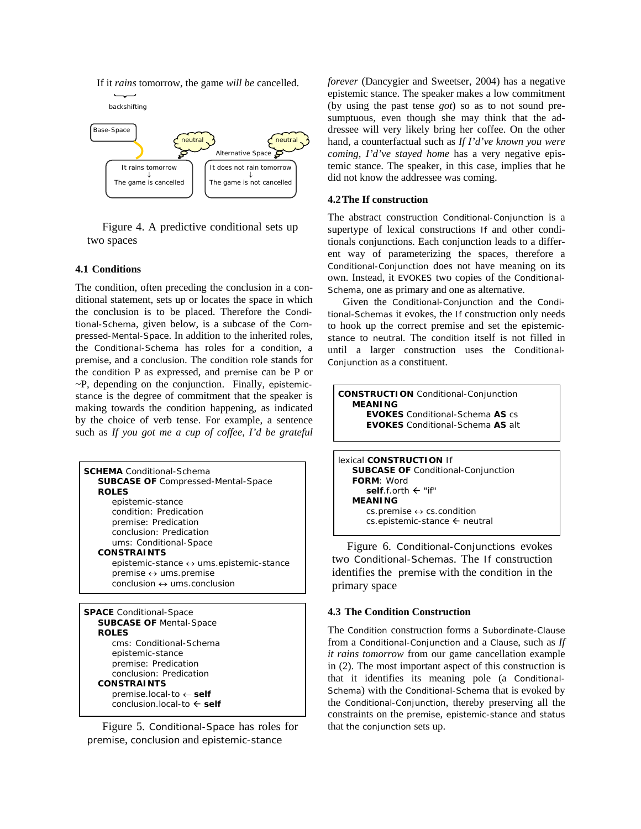



Figure 4. A predictive conditional sets up two spaces

## **4.1 Conditions**

The condition, often preceding the conclusion in a conditional statement, sets up or locates the space in which the conclusion is to be placed. Therefore the Conditional-Schema, given below, is a subcase of the Compressed-Mental-Space. In addition to the inherited roles, the Conditional-Schema has roles for a condition, a premise, and a conclusion. The condition role stands for the condition P as expressed, and premise can be P or  $\neg P$ , depending on the conjunction. Finally, epistemicstance is the degree of commitment that the speaker is making towards the condition happening, as indicated by the choice of verb tense. For example, a sentence such as *If you got me a cup of coffee, I'd be grateful* 

| <b>SCHEMA</b> Conditional-Schema<br><b>SUBCASE OF Compressed-Mental-Space</b> |
|-------------------------------------------------------------------------------|
| <b>ROLES</b>                                                                  |
| epistemic-stance                                                              |
| condition: Predication                                                        |
| premise: Predication                                                          |
| conclusion: Predication                                                       |
| ums: Conditional-Space                                                        |
| <b>CONSTRAINTS</b>                                                            |
| epistemic-stance $\leftrightarrow$ ums.epistemic-stance                       |
| $premise \leftrightarrow uns.parse$                                           |
| $conclusion \leftrightarrow ums.conclusion$                                   |
|                                                                               |

**SPACE** Conditional-Space  **SUBCASE OF** Mental-Space  **ROLES**  cms: Conditional-Schema epistemic-stance premise: Predication conclusion: Predication  **CONSTRAINTS**  premise.local-to ← **self** conclusion.local-to  $\leftarrow$  self

Figure 5. Conditional-Space has roles for premise, conclusion and epistemic-stance

*forever* (Dancygier and Sweetser, 2004) has a negative epistemic stance. The speaker makes a low commitment (by using the past tense *got*) so as to not sound presumptuous, even though she may think that the addressee will very likely bring her coffee. On the other hand, a counterfactual such as *If I'd've known you were coming, I'd've stayed home* has a very negative epistemic stance. The speaker, in this case, implies that he did not know the addressee was coming.

#### **4.2The If construction**

The abstract construction Conditional-Conjunction is a supertype of lexical constructions If and other conditionals conjunctions. Each conjunction leads to a different way of parameterizing the spaces, therefore a Conditional-Conjunction does not have meaning on its own. Instead, it EVOKES two copies of the Conditional-Schema, one as primary and one as alternative.

Given the Conditional-Conjunction and the Conditional-Schemas it evokes, the If construction only needs to hook up the correct premise and set the epistemicstance to neutral. The condition itself is not filled in until a larger construction uses the Conditional-Conjunction as a constituent.

**CONSTRUCTION** Conditional-Conjunction **MEANING EVOKES** Conditional-Schema **AS** cs **EVOKES** Conditional-Schema **AS** alt

```
lexical CONSTRUCTION If 
 SUBCASE OF Conditional-Conjunction
 FORM: Word 
    self.f.orth \leftarrow "if"
 MEANING 
    cs.premise \leftrightarrow cs.condition
    cs.epistemic-stance \leftarrow neutral
```
Figure 6. Conditional-Conjunctions evokes two Conditional-Schemas. The If construction identifies the premise with the condition in the primary space

## **4.3 The Condition Construction**

The Condition construction forms a Subordinate-Clause from a Conditional-Conjunction and a Clause, such as *If it rains tomorrow* from our game cancellation example in (2). The most important aspect of this construction is that it identifies its meaning pole (a Conditional-Schema) with the Conditional-Schema that is evoked by the Conditional-Conjunction, thereby preserving all the constraints on the premise, epistemic-stance and status that the conjunction sets up.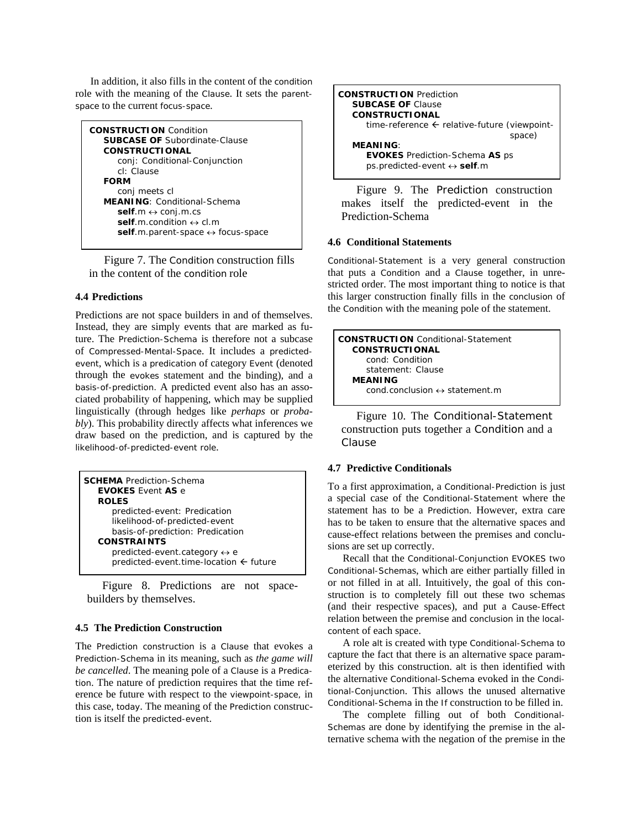In addition, it also fills in the content of the condition role with the meaning of the Clause. It sets the parentspace to the current focus-space.

```
CONSTRUCTION Condition 
SUBCASE OF Subordinate-Clause 
CONSTRUCTIONAL 
    conj: Conditional-Conjunction 
    cl: Clause 
FORM 
    conj meets cl 
MEANING: Conditional-Schema 
    self.m ↔ conj.m.cs 
   self.m.condition ↔ cl.m
    self.m.parent-space ↔ focus-space
```
Figure 7. The Condition construction fills in the content of the condition role

# **4.4 Predictions**

Predictions are not space builders in and of themselves. Instead, they are simply events that are marked as future. The Prediction-Schema is therefore not a subcase of Compressed-Mental-Space. It includes a predictedevent, which is a predication of category Event (denoted through the evokes statement and the binding), and a basis-of-prediction. A predicted event also has an associated probability of happening, which may be supplied linguistically (through hedges like *perhaps* or *probably*). This probability directly affects what inferences we draw based on the prediction, and is captured by the likelihood-of-predicted-event role.

| <b>SCHEMA</b> Prediction-Schema<br><b>EVOKES Event AS e</b><br><b>ROLES</b> |
|-----------------------------------------------------------------------------|
| predicted-event: Predication                                                |
| likelihood-of-predicted-event                                               |
| basis-of-prediction: Predication                                            |
| <b>CONSTRAINTS</b>                                                          |
| predicted-event.category $\leftrightarrow$ e                                |
| predicted-event.time-location $\leftarrow$ future                           |
|                                                                             |

Figure 8. Predictions are not spacebuilders by themselves.

## **4.5 The Prediction Construction**

The Prediction construction is a Clause that evokes a Prediction-Schema in its meaning, such as *the game will be cancelled*. The meaning pole of a Clause is a Predication. The nature of prediction requires that the time reference be future with respect to the viewpoint-space, in this case, today. The meaning of the Prediction construction is itself the predicted-event.



Figure 9. The Prediction construction makes itself the predicted-event in the Prediction-Schema

## **4.6 Conditional Statements**

Conditional-Statement is a very general construction that puts a Condition and a Clause together, in unrestricted order. The most important thing to notice is that this larger construction finally fills in the conclusion of the Condition with the meaning pole of the statement.

| <b>CONSTRUCTION</b> Conditional-Statement<br><b>CONSTRUCTIONAL</b> |  |
|--------------------------------------------------------------------|--|
|                                                                    |  |
| cond: Condition                                                    |  |
| statement: Clause                                                  |  |
| <b>MEANING</b>                                                     |  |
| cond.conclusion $\leftrightarrow$ statement.m                      |  |
|                                                                    |  |

Figure 10. The Conditional-Statement construction puts together a Condition and a Clause

# **4.7 Predictive Conditionals**

To a first approximation, a Conditional-Prediction is just a special case of the Conditional-Statement where the statement has to be a Prediction. However, extra care has to be taken to ensure that the alternative spaces and cause-effect relations between the premises and conclusions are set up correctly.

Recall that the Conditional-Conjunction EVOKES two Conditional-Schemas, which are either partially filled in or not filled in at all. Intuitively, the goal of this construction is to completely fill out these two schemas (and their respective spaces), and put a Cause-Effect relation between the premise and conclusion in the localcontent of each space.

A role alt is created with type Conditional-Schema to capture the fact that there is an alternative space parameterized by this construction. alt is then identified with the alternative Conditional-Schema evoked in the Conditional-Conjunction. This allows the unused alternative Conditional-Schema in the If construction to be filled in.

The complete filling out of both Conditional-Schemas are done by identifying the premise in the alternative schema with the negation of the premise in the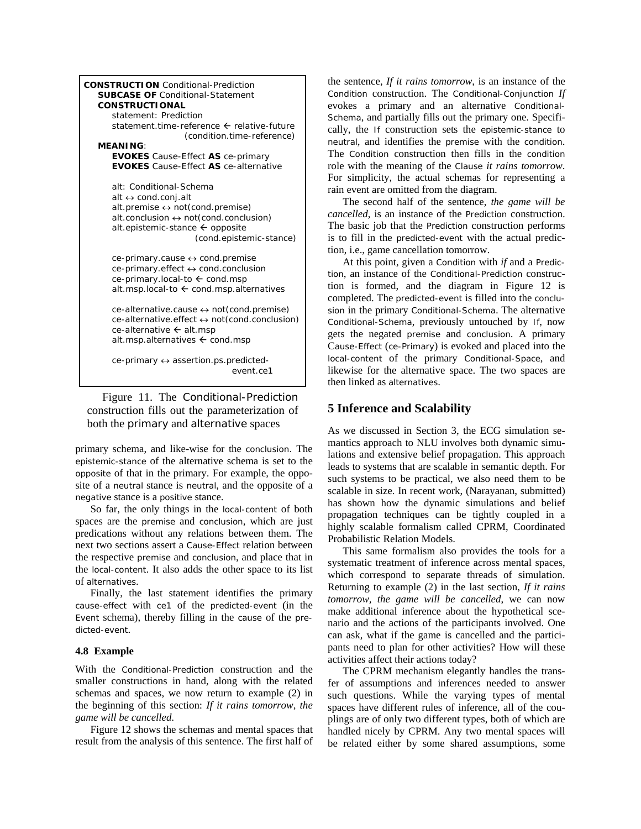| <b>CONSTRUCTION</b> Conditional-Prediction<br><b>SUBCASE OF Conditional-Statement</b><br><b>CONSTRUCTIONAL</b><br>statement: Prediction<br>statement.time-reference ← relative-future<br>(condition.time-reference)<br><b>MEANING:</b>                |
|-------------------------------------------------------------------------------------------------------------------------------------------------------------------------------------------------------------------------------------------------------|
| <b>EVOKES</b> Cause-Effect AS ce-primary                                                                                                                                                                                                              |
| <b>EVOKES</b> Cause-Effect AS ce-alternative                                                                                                                                                                                                          |
| alt: Conditional-Schema<br>alt $\leftrightarrow$ cond.conj.alt<br>alt.premise $\leftrightarrow$ not (cond.premise)<br>alt.conclusion $\leftrightarrow$ not (cond.conclusion)<br>alt.epistemic-stance $\leftarrow$ opposite<br>(cond.epistemic-stance) |
| $ce$ -primary.cause $\leftrightarrow$ cond.premise                                                                                                                                                                                                    |
| ce-primary.effect ↔ cond.conclusion                                                                                                                                                                                                                   |
| ce-primary.local-to ← cond.msp                                                                                                                                                                                                                        |
| alt.msp.local-to $\leftarrow$ cond.msp.alternatives                                                                                                                                                                                                   |
| $ce$ -alternative.cause $\leftrightarrow$ not(cond.premise)<br>ce-alternative.effect ↔ not(cond.conclusion)<br>ce-alternative $\leftarrow$ alt.msp<br>alt.msp.alternatives $\leftarrow$ cond.msp                                                      |
| ce-primary $\leftrightarrow$ assertion.ps.predicted-<br>event ce1                                                                                                                                                                                     |

Figure 11. The Conditional-Prediction construction fills out the parameterization of both the primary and alternative spaces

primary schema, and like-wise for the conclusion. The epistemic-stance of the alternative schema is set to the opposite of that in the primary. For example, the opposite of a neutral stance is neutral, and the opposite of a negative stance is a positive stance.

So far, the only things in the local-content of both spaces are the premise and conclusion, which are just predications without any relations between them. The next two sections assert a Cause-Effect relation between the respective premise and conclusion, and place that in the local-content. It also adds the other space to its list of alternatives.

Finally, the last statement identifies the primary cause-effect with ce1 of the predicted-event (in the Event schema), thereby filling in the cause of the predicted-event.

#### **4.8 Example**

With the Conditional-Prediction construction and the smaller constructions in hand, along with the related schemas and spaces, we now return to example (2) in the beginning of this section: *If it rains tomorrow, the game will be cancelled*.

Figure 12 shows the schemas and mental spaces that result from the analysis of this sentence. The first half of the sentence, *If it rains tomorrow*, is an instance of the Condition construction. The Conditional-Conjunction *If* evokes a primary and an alternative Conditional-Schema, and partially fills out the primary one. Specifically, the If construction sets the epistemic-stance to neutral, and identifies the premise with the condition. The Condition construction then fills in the condition role with the meaning of the Clause *it rains tomorrow*. For simplicity, the actual schemas for representing a rain event are omitted from the diagram.

The second half of the sentence, *the game will be cancelled*, is an instance of the Prediction construction. The basic job that the Prediction construction performs is to fill in the predicted-event with the actual prediction, i.e., game cancellation tomorrow.

At this point, given a Condition with *if* and a Prediction, an instance of the Conditional-Prediction construction is formed, and the diagram in Figure 12 is completed. The predicted-event is filled into the conclusion in the primary Conditional-Schema. The alternative Conditional-Schema, previously untouched by If, now gets the negated premise and conclusion. A primary Cause-Effect (ce-Primary) is evoked and placed into the local-content of the primary Conditional-Space, and likewise for the alternative space. The two spaces are then linked as alternatives.

# **5 Inference and Scalability**

As we discussed in Section 3, the ECG simulation semantics approach to NLU involves both dynamic simulations and extensive belief propagation. This approach leads to systems that are scalable in semantic depth. For such systems to be practical, we also need them to be scalable in size. In recent work, (Narayanan, submitted) has shown how the dynamic simulations and belief propagation techniques can be tightly coupled in a highly scalable formalism called CPRM, Coordinated Probabilistic Relation Models.

This same formalism also provides the tools for a systematic treatment of inference across mental spaces, which correspond to separate threads of simulation. Returning to example (2) in the last section, *If it rains tomorrow, the game will be cancelled*, we can now make additional inference about the hypothetical scenario and the actions of the participants involved. One can ask, what if the game is cancelled and the participants need to plan for other activities? How will these activities affect their actions today?

The CPRM mechanism elegantly handles the transfer of assumptions and inferences needed to answer such questions. While the varying types of mental spaces have different rules of inference, all of the couplings are of only two different types, both of which are handled nicely by CPRM. Any two mental spaces will be related either by some shared assumptions, some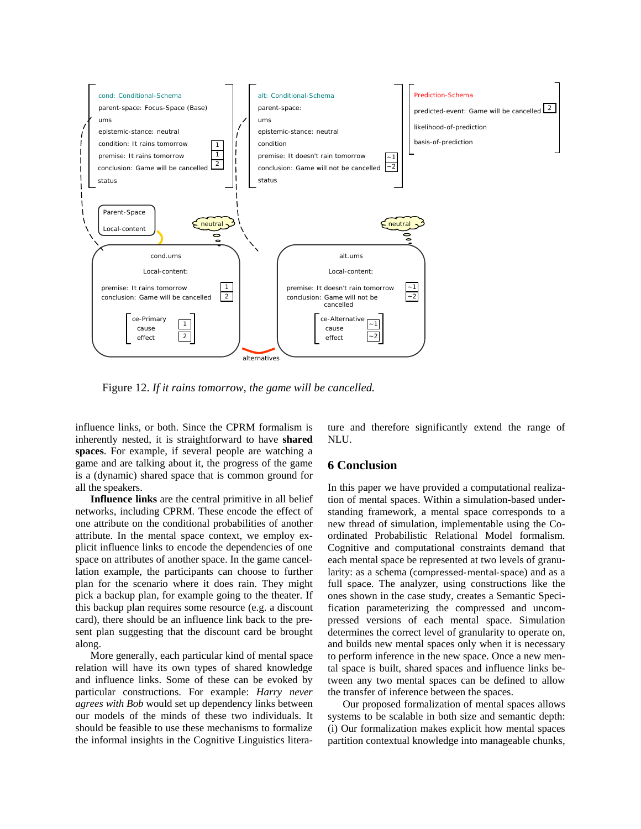

Figure 12. *If it rains tomorrow, the game will be cancelled.*

influence links, or both. Since the CPRM formalism is inherently nested, it is straightforward to have **shared spaces**. For example, if several people are watching a game and are talking about it, the progress of the game is a (dynamic) shared space that is common ground for all the speakers.

**Influence links** are the central primitive in all belief networks, including CPRM. These encode the effect of one attribute on the conditional probabilities of another attribute. In the mental space context, we employ explicit influence links to encode the dependencies of one space on attributes of another space. In the game cancellation example, the participants can choose to further plan for the scenario where it does rain. They might pick a backup plan, for example going to the theater. If this backup plan requires some resource (e.g. a discount card), there should be an influence link back to the present plan suggesting that the discount card be brought along.

More generally, each particular kind of mental space relation will have its own types of shared knowledge and influence links. Some of these can be evoked by particular constructions. For example: *Harry never agrees with Bob* would set up dependency links between our models of the minds of these two individuals. It should be feasible to use these mechanisms to formalize the informal insights in the Cognitive Linguistics literature and therefore significantly extend the range of NLU.

# **6 Conclusion**

In this paper we have provided a computational realization of mental spaces. Within a simulation-based understanding framework, a mental space corresponds to a new thread of simulation, implementable using the Coordinated Probabilistic Relational Model formalism. Cognitive and computational constraints demand that each mental space be represented at two levels of granularity: as a schema (compressed-mental-space) and as a full space. The analyzer, using constructions like the ones shown in the case study, creates a Semantic Specification parameterizing the compressed and uncompressed versions of each mental space. Simulation determines the correct level of granularity to operate on, and builds new mental spaces only when it is necessary to perform inference in the new space. Once a new mental space is built, shared spaces and influence links between any two mental spaces can be defined to allow the transfer of inference between the spaces.

Our proposed formalization of mental spaces allows systems to be scalable in both size and semantic depth: (i) Our formalization makes explicit how mental spaces partition contextual knowledge into manageable chunks,